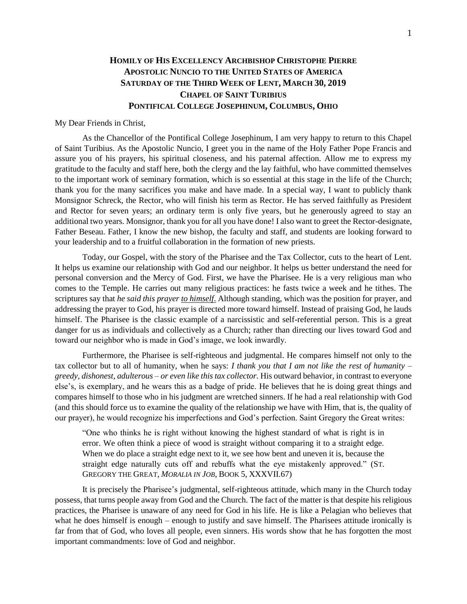## **HOMILY OF HIS EXCELLENCY ARCHBISHOP CHRISTOPHE PIERRE APOSTOLIC NUNCIO TO THE UNITED STATES OF AMERICA SATURDAY OF THE THIRD WEEK OF LENT, MARCH 30, 2019 CHAPEL OF SAINT TURIBIUS PONTIFICAL COLLEGE JOSEPHINUM, COLUMBUS, OHIO**

My Dear Friends in Christ,

As the Chancellor of the Pontifical College Josephinum, I am very happy to return to this Chapel of Saint Turibius. As the Apostolic Nuncio, I greet you in the name of the Holy Father Pope Francis and assure you of his prayers, his spiritual closeness, and his paternal affection. Allow me to express my gratitude to the faculty and staff here, both the clergy and the lay faithful, who have committed themselves to the important work of seminary formation, which is so essential at this stage in the life of the Church; thank you for the many sacrifices you make and have made. In a special way, I want to publicly thank Monsignor Schreck, the Rector, who will finish his term as Rector. He has served faithfully as President and Rector for seven years; an ordinary term is only five years, but he generously agreed to stay an additional two years. Monsignor, thank you for all you have done! I also want to greet the Rector-designate, Father Beseau. Father, I know the new bishop, the faculty and staff, and students are looking forward to your leadership and to a fruitful collaboration in the formation of new priests.

Today, our Gospel, with the story of the Pharisee and the Tax Collector, cuts to the heart of Lent. It helps us examine our relationship with God and our neighbor. It helps us better understand the need for personal conversion and the Mercy of God. First, we have the Pharisee. He is a very religious man who comes to the Temple. He carries out many religious practices: he fasts twice a week and he tithes. The scriptures say that *he said this prayer to himself*. Although standing, which was the position for prayer, and addressing the prayer to God, his prayer is directed more toward himself. Instead of praising God, he lauds himself. The Pharisee is the classic example of a narcissistic and self-referential person. This is a great danger for us as individuals and collectively as a Church; rather than directing our lives toward God and toward our neighbor who is made in God's image, we look inwardly.

Furthermore, the Pharisee is self-righteous and judgmental. He compares himself not only to the tax collector but to all of humanity, when he says: *I thank you that I am not like the rest of humanity – greedy, dishonest, adulterous – or even like this tax collector.* His outward behavior, in contrast to everyone else's, is exemplary, and he wears this as a badge of pride. He believes that he is doing great things and compares himself to those who in his judgment are wretched sinners. If he had a real relationship with God (and this should force us to examine the quality of the relationship we have with Him, that is, the quality of our prayer), he would recognize his imperfections and God's perfection. Saint Gregory the Great writes:

"One who thinks he is right without knowing the highest standard of what is right is in error. We often think a piece of wood is straight without comparing it to a straight edge. When we do place a straight edge next to it, we see how bent and uneven it is, because the straight edge naturally cuts off and rebuffs what the eye mistakenly approved." (ST. GREGORY THE GREAT, *MORALIA IN JOB*, BOOK 5, XXXVII.67)

It is precisely the Pharisee's judgmental, self-righteous attitude, which many in the Church today possess, that turns people away from God and the Church. The fact of the matter is that despite his religious practices, the Pharisee is unaware of any need for God in his life. He is like a Pelagian who believes that what he does himself is enough – enough to justify and save himself. The Pharisees attitude ironically is far from that of God, who loves all people, even sinners. His words show that he has forgotten the most important commandments: love of God and neighbor.